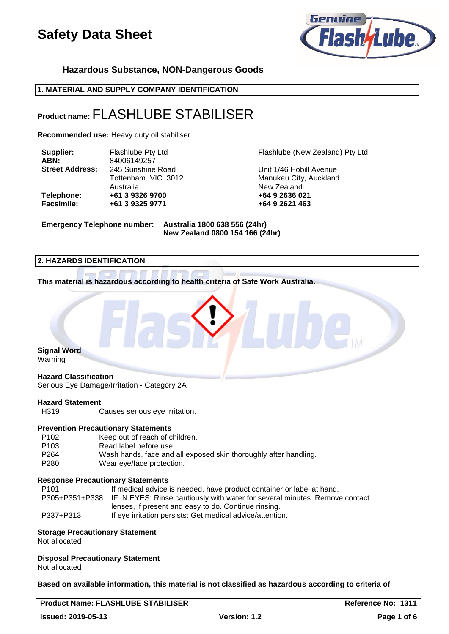

**Hazardous Substance, NON-Dangerous Goods**

**1. MATERIAL AND SUPPLY COMPANY IDENTIFICATION**

## **Product name:** FLASHLUBE STABILISER

**Recommended use:** Heavy duty oil stabiliser.

| Supplier:              | Flashlube Pty Ltd |  |
|------------------------|-------------------|--|
| ABN:                   | 84006149257       |  |
| <b>Street Address:</b> | 245 Sunshine Road |  |
|                        | Tottenham VIC 301 |  |
|                        | Australia         |  |
| Telephone:             | +61 3 9326 9700   |  |
| <b>Facsimile:</b>      | +61 3 9325 9771   |  |

Flashlube (New Zealand) Pty Ltd

**Unit 1/46 Hobill Avenue** 12 **Manukau City, Auckland** New Zealand **Telephone: +61 3 9326 9700 +64 9 2636 021 Facsimile: +61 3 9325 9771 +64 9 2621 463**

**Emergency Telephone number: Australia 1800 638 556 (24hr)**

**New Zealand 0800 154 166 (24hr)**

## **2. HAZARDS IDENTIFICATION**

**This material is hazardous according to health criteria of Safe Work Australia.**



## **Hazard Classification**

Serious Eye Damage/Irritation - Category 2A

## **Hazard Statement**<br>H319

Causes serious eye irritation.

#### **Prevention Precautionary Statements**

| P <sub>102</sub> | Keep out of reach of children.                                   |
|------------------|------------------------------------------------------------------|
| P <sub>103</sub> | Read label before use.                                           |
| P264             | Wash hands, face and all exposed skin thoroughly after handling. |
| P280             | Wear eye/face protection.                                        |

#### **Response Precautionary Statements**

| P101      | If medical advice is needed, have product container or label at hand.                      |
|-----------|--------------------------------------------------------------------------------------------|
|           | P305+P351+P338 IF IN EYES: Rinse cautiously with water for several minutes. Remove contact |
|           | lenses, if present and easy to do. Continue rinsing.                                       |
| P337+P313 | If eye irritation persists: Get medical advice/attention.                                  |

#### **Storage Precautionary Statement**

Not allocated

## **Disposal Precautionary Statement**

Not allocated

**Based on available information, this material is not classified as hazardous according to criteria of**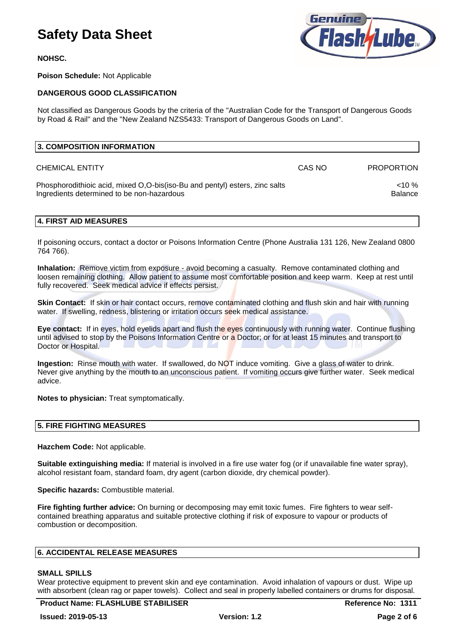**NOHSC.**

**Poison Schedule:** Not Applicable

### **DANGEROUS GOOD CLASSIFICATION**

Not classified as Dangerous Goods by the criteria of the "Australian Code for the Transport of Dangerous Goods by Road & Rail" and the "New Zealand NZS5433: Transport of Dangerous Goods on Land".

| 3. COMPOSITION INFORMATION                                                                                                |        |                          |
|---------------------------------------------------------------------------------------------------------------------------|--------|--------------------------|
| <b>CHEMICAL ENTITY</b>                                                                                                    | CAS NO | <b>PROPORTION</b>        |
| Phosphorodithioic acid, mixed O,O-bis(iso-Bu and pentyl) esters, zinc salts<br>Ingredients determined to be non-hazardous |        | $10\%$<br><b>Balance</b> |

### **4. FIRST AID MEASURES**

If poisoning occurs, contact a doctor or Poisons Information Centre (Phone Australia 131 126, New Zealand 0800 764 766).

**Inhalation:** Remove victim from exposure - avoid becoming a casualty. Remove contaminated clothing and loosen remaining clothing. Allow patient to assume most comfortable position and keep warm. Keep at rest until fully recovered. Seek medical advice if effects persist.

**Skin Contact:** If skin or hair contact occurs, remove contaminated clothing and flush skin and hair with running water. If swelling, redness, blistering or irritation occurs seek medical assistance.

**Eye contact:** If in eyes, hold eyelids apart and flush the eyes continuously with running water. Continue flushing until advised to stop by the Poisons Information Centre or a Doctor; or for at least 15 minutes and transport to Doctor or Hospital.

**Ingestion:** Rinse mouth with water. If swallowed, do NOT induce vomiting. Give a glass of water to drink. Never give anything by the mouth to an unconscious patient. If vomiting occurs give further water. Seek medical advice.

**Notes to physician:** Treat symptomatically.

#### **5. FIRE FIGHTING MEASURES**

**Hazchem Code:** Not applicable.

**Suitable extinguishing media:** If material is involved in a fire use water fog (or if unavailable fine water spray), alcohol resistant foam, standard foam, dry agent (carbon dioxide, dry chemical powder).

**Specific hazards:** Combustible material.

**Fire fighting further advice:** On burning or decomposing may emit toxic fumes. Fire fighters to wear selfcontained breathing apparatus and suitable protective clothing if risk of exposure to vapour or products of combustion or decomposition.

#### **6. ACCIDENTAL RELEASE MEASURES**

#### **SMALL SPILLS**

Wear protective equipment to prevent skin and eye contamination. Avoid inhalation of vapours or dust. Wipe up with absorbent (clean rag or paper towels). Collect and seal in properly labelled containers or drums for disposal.

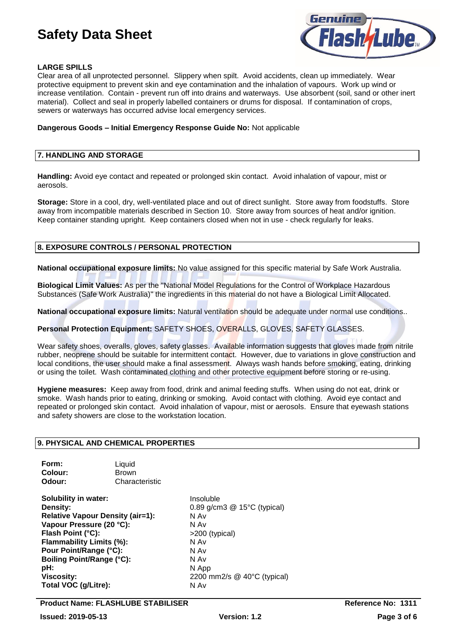

### **LARGE SPILLS**

Clear area of all unprotected personnel. Slippery when spilt. Avoid accidents, clean up immediately. Wear protective equipment to prevent skin and eye contamination and the inhalation of vapours. Work up wind or increase ventilation. Contain - prevent run off into drains and waterways. Use absorbent (soil, sand or other inert material). Collect and seal in properly labelled containers or drums for disposal. If contamination of crops, sewers or waterways has occurred advise local emergency services.

#### **Dangerous Goods – Initial Emergency Response Guide No:** Not applicable

#### **7. HANDLING AND STORAGE**

**Handling:** Avoid eye contact and repeated or prolonged skin contact. Avoid inhalation of vapour, mist or aerosols.

**Storage:** Store in a cool, dry, well-ventilated place and out of direct sunlight. Store away from foodstuffs. Store away from incompatible materials described in Section 10. Store away from sources of heat and/or ignition. Keep container standing upright. Keep containers closed when not in use - check regularly for leaks.

### **8. EXPOSURE CONTROLS / PERSONAL PROTECTION**

**National occupational exposure limits:** No value assigned for this specific material by Safe Work Australia.

**Biological Limit Values:** As per the "National Model Regulations for the Control of Workplace Hazardous Substances (Safe Work Australia)" the ingredients in this material do not have a Biological Limit Allocated.

**National occupational exposure limits:** Natural ventilation should be adequate under normal use conditions..

### **Personal Protection Equipment:** SAFETY SHOES, OVERALLS, GLOVES, SAFETY GLASSES.

Wear safety shoes, overalls, gloves, safety glasses. Available information suggests that gloves made from nitrile rubber, neoprene should be suitable for intermittent contact. However, due to variations in glove construction and local conditions, the user should make a final assessment. Always wash hands before smoking, eating, drinking or using the toilet. Wash contaminated clothing and other protective equipment before storing or re-using.

**Hygiene measures:** Keep away from food, drink and animal feeding stuffs. When using do not eat, drink or smoke. Wash hands prior to eating, drinking or smoking. Avoid contact with clothing. Avoid eye contact and repeated or prolonged skin contact. Avoid inhalation of vapour, mist or aerosols. Ensure that eyewash stations and safety showers are close to the workstation location.

### **9. PHYSICAL AND CHEMICAL PROPERTIES**

| Form:   | Liquid         |
|---------|----------------|
| Colour: | <b>Brown</b>   |
| Odour:  | Characteristic |

**Solubility in water:** Insoluble **Density:** 0.89 g/cm3 @ 15°C (typical) **Relative Vapour Density (air=1):** N Av **Vapour Pressure (20 °C):**<br>
Flash Point (°C):<br>
Pash Point (°C): **Flash Point (°C): Flammability Limits (%):** N Av **Pour Point/Range (°C):** N Av **Boiling Point/Range (°C):** N Av **pH:** N App **Viscosity:** 2200 mm2/s @ 40°C (typical) **Total VOC (g/Litre):** N Av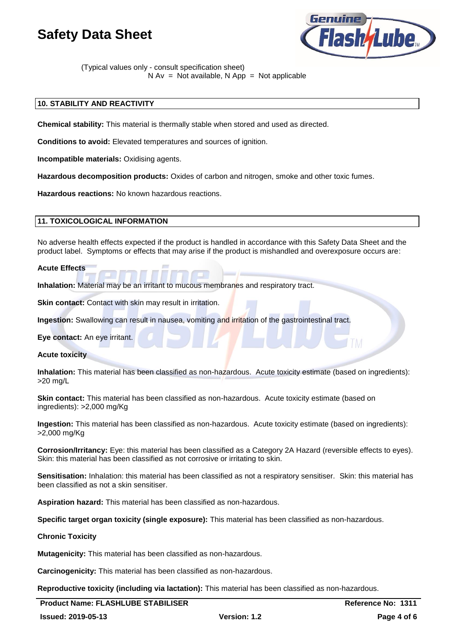

(Typical values only - consult specification sheet)  $N Av = Not available, N App = Not applicable$ 

## **10. STABILITY AND REACTIVITY**

**Chemical stability:** This material is thermally stable when stored and used as directed.

**Conditions to avoid:** Elevated temperatures and sources of ignition.

**Incompatible materials:** Oxidising agents.

**Hazardous decomposition products:** Oxides of carbon and nitrogen, smoke and other toxic fumes.

**Hazardous reactions:** No known hazardous reactions.

### **11. TOXICOLOGICAL INFORMATION**

No adverse health effects expected if the product is handled in accordance with this Safety Data Sheet and the product label. Symptoms or effects that may arise if the product is mishandled and overexposure occurs are:

#### **Acute Effects**

**Inhalation:** Material may be an irritant to mucous membranes and respiratory tract.

**Skin contact:** Contact with skin may result in irritation.

**Ingestion:** Swallowing can result in nausea, vomiting and irritation of the gastrointestinal tract.

**Eye contact:** An eye irritant.

**Acute toxicity**

**Inhalation:** This material has been classified as non-hazardous. Acute toxicity estimate (based on ingredients): >20 mg/L

**Skin contact:** This material has been classified as non-hazardous. Acute toxicity estimate (based on ingredients): >2,000 mg/Kg

**Ingestion:** This material has been classified as non-hazardous. Acute toxicity estimate (based on ingredients): >2,000 mg/Kg

**Corrosion/Irritancy:** Eye: this material has been classified as a Category 2A Hazard (reversible effects to eyes). Skin: this material has been classified as not corrosive or irritating to skin.

**Sensitisation:** Inhalation: this material has been classified as not a respiratory sensitiser. Skin: this material has been classified as not a skin sensitiser.

**Aspiration hazard:** This material has been classified as non-hazardous.

**Specific target organ toxicity (single exposure):** This material has been classified as non-hazardous.

#### **Chronic Toxicity**

**Mutagenicity:** This material has been classified as non-hazardous.

**Carcinogenicity:** This material has been classified as non-hazardous.

**Reproductive toxicity (including via lactation):** This material has been classified as non-hazardous.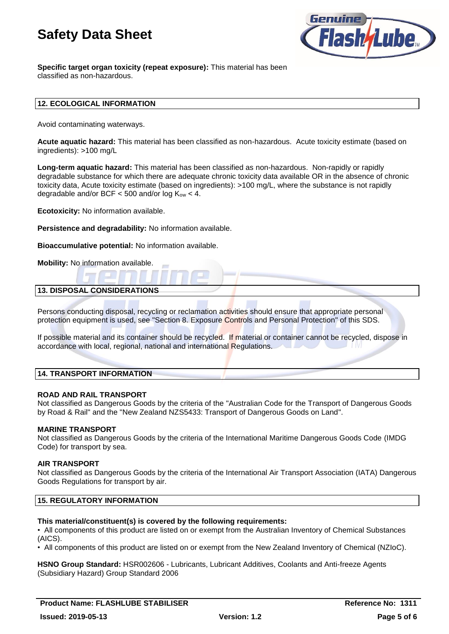

**Specific target organ toxicity (repeat exposure):** This material has been classified as non-hazardous.

### **12. ECOLOGICAL INFORMATION**

Avoid contaminating waterways.

**Acute aquatic hazard:** This material has been classified as non-hazardous. Acute toxicity estimate (based on ingredients): >100 mg/L

**Long-term aquatic hazard:** This material has been classified as non-hazardous. Non-rapidly or rapidly degradable substance for which there are adequate chronic toxicity data available OR in the absence of chronic toxicity data, Acute toxicity estimate (based on ingredients): >100 mg/L, where the substance is not rapidly degradable and/or BCF  $<$  500 and/or log K<sub>ow</sub>  $<$  4.

**Ecotoxicity:** No information available.

**Persistence and degradability:** No information available.

**Bioaccumulative potential:** No information available.

**Mobility:** No information available.

## **13. DISPOSAL CONSIDERATIONS**

Persons conducting disposal, recycling or reclamation activities should ensure that appropriate personal protection equipment is used, see "Section 8. Exposure Controls and Personal Protection" of this SDS.

If possible material and its container should be recycled. If material or container cannot be recycled, dispose in accordance with local, regional, national and international Regulations.

## **14. TRANSPORT INFORMATION**

#### **ROAD AND RAIL TRANSPORT**

Not classified as Dangerous Goods by the criteria of the "Australian Code for the Transport of Dangerous Goods by Road & Rail" and the "New Zealand NZS5433: Transport of Dangerous Goods on Land".

#### **MARINE TRANSPORT**

Not classified as Dangerous Goods by the criteria of the International Maritime Dangerous Goods Code (IMDG Code) for transport by sea.

### **AIR TRANSPORT**

Not classified as Dangerous Goods by the criteria of the International Air Transport Association (IATA) Dangerous Goods Regulations for transport by air.

#### **15. REGULATORY INFORMATION**

### **This material/constituent(s) is covered by the following requirements:**

• All components of this product are listed on or exempt from the Australian Inventory of Chemical Substances (AICS).

• All components of this product are listed on or exempt from the New Zealand Inventory of Chemical (NZIoC).

**HSNO Group Standard:** HSR002606 - Lubricants, Lubricant Additives, Coolants and Anti-freeze Agents (Subsidiary Hazard) Group Standard 2006